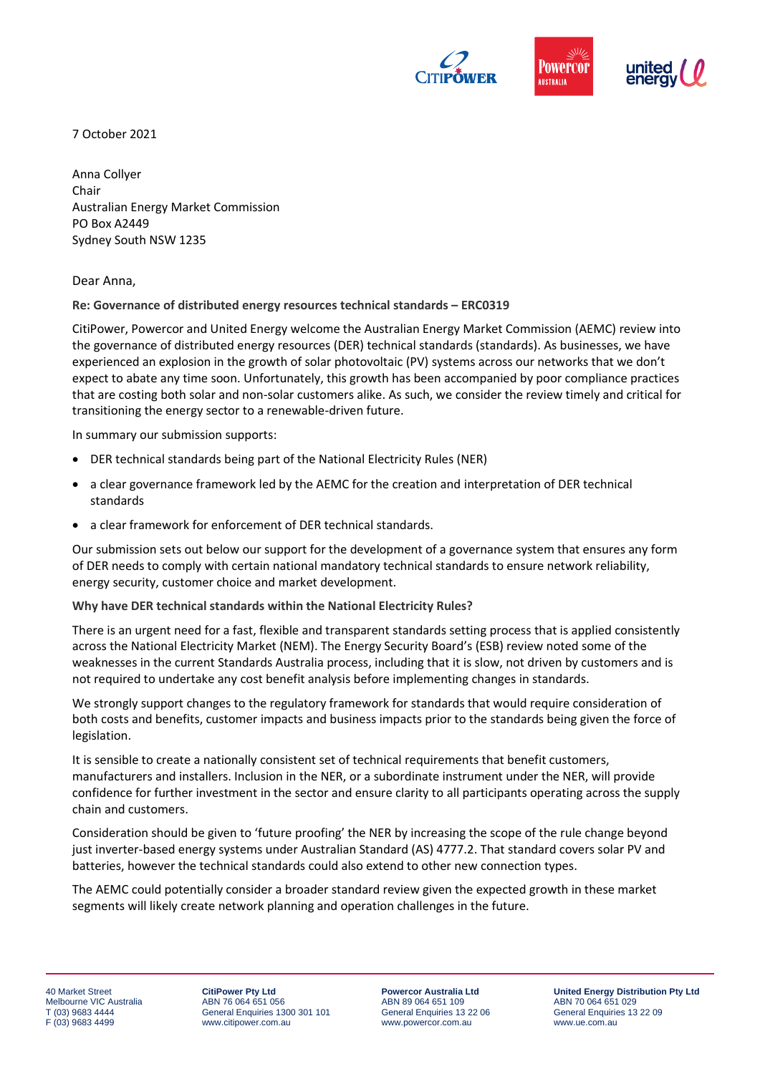

7 October 2021

Anna Collyer Chair Australian Energy Market Commission PO Box A2449 Sydney South NSW 1235

Dear Anna,

**Re: Governance of distributed energy resources technical standards – ERC0319**

CitiPower, Powercor and United Energy welcome the Australian Energy Market Commission (AEMC) review into the governance of distributed energy resources (DER) technical standards (standards). As businesses, we have experienced an explosion in the growth of solar photovoltaic (PV) systems across our networks that we don't expect to abate any time soon. Unfortunately, this growth has been accompanied by poor compliance practices that are costing both solar and non-solar customers alike. As such, we consider the review timely and critical for transitioning the energy sector to a renewable-driven future.

In summary our submission supports:

- DER technical standards being part of the National Electricity Rules (NER)
- a clear governance framework led by the AEMC for the creation and interpretation of DER technical standards
- a clear framework for enforcement of DER technical standards.

Our submission sets out below our support for the development of a governance system that ensures any form of DER needs to comply with certain national mandatory technical standards to ensure network reliability, energy security, customer choice and market development.

**Why have DER technical standards within the National Electricity Rules?**

There is an urgent need for a fast, flexible and transparent standards setting process that is applied consistently across the National Electricity Market (NEM). The Energy Security Board's (ESB) review noted some of the weaknesses in the current Standards Australia process, including that it is slow, not driven by customers and is not required to undertake any cost benefit analysis before implementing changes in standards.

We strongly support changes to the regulatory framework for standards that would require consideration of both costs and benefits, customer impacts and business impacts prior to the standards being given the force of legislation.

It is sensible to create a nationally consistent set of technical requirements that benefit customers, manufacturers and installers. Inclusion in the NER, or a subordinate instrument under the NER, will provide confidence for further investment in the sector and ensure clarity to all participants operating across the supply chain and customers.

Consideration should be given to 'future proofing' the NER by increasing the scope of the rule change beyond just inverter-based energy systems under Australian Standard (AS) 4777.2. That standard covers solar PV and batteries, however the technical standards could also extend to other new connection types.

The AEMC could potentially consider a broader standard review given the expected growth in these market segments will likely create network planning and operation challenges in the future.

**CitiPower Pty Ltd** ABN 76 064 651 056 General Enquiries 1300 301 101 www.citipower.com.au

**Powercor Australia Ltd** ABN 89 064 651 109 General Enquiries 13 22 06 www.powercor.com.au

**United Energy Distribution Pty Ltd** ABN 70 064 651 029 General Enquiries 13 22 09 www.ue.com.au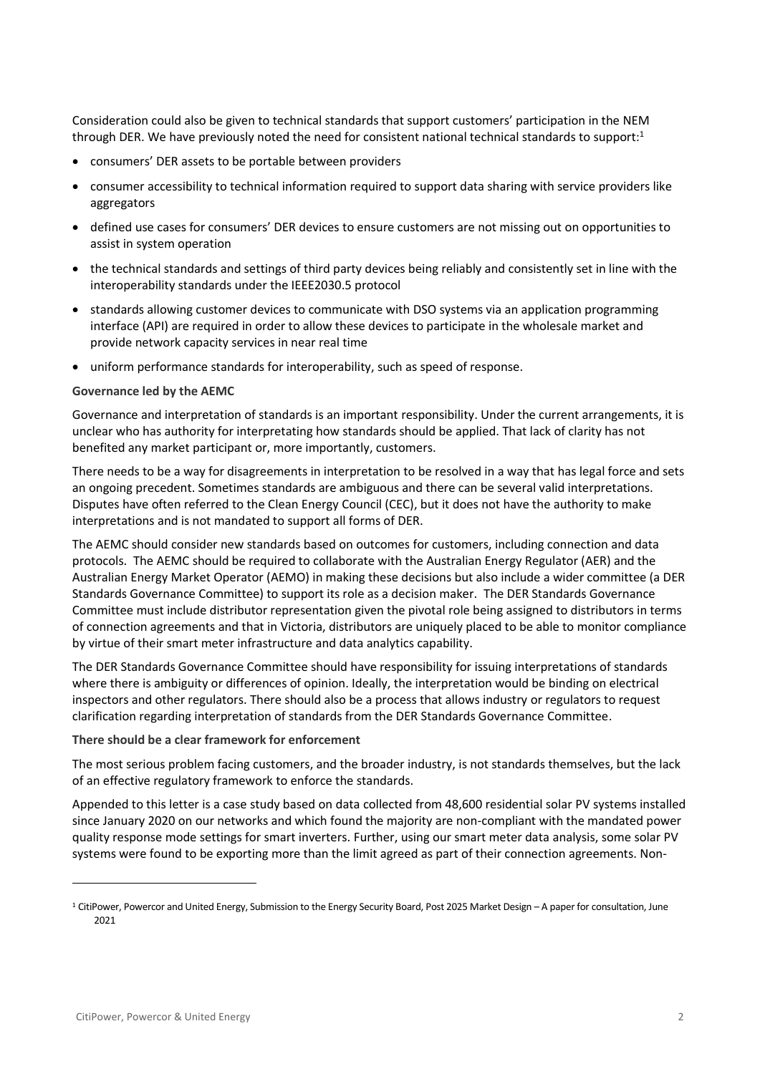Consideration could also be given to technical standards that support customers' participation in the NEM through DER. We have previously noted the need for consistent national technical standards to support:<sup>1</sup>

- consumers' DER assets to be portable between providers
- consumer accessibility to technical information required to support data sharing with service providers like aggregators
- defined use cases for consumers' DER devices to ensure customers are not missing out on opportunities to assist in system operation
- the technical standards and settings of third party devices being reliably and consistently set in line with the interoperability standards under the IEEE2030.5 protocol
- standards allowing customer devices to communicate with DSO systems via an application programming interface (API) are required in order to allow these devices to participate in the wholesale market and provide network capacity services in near real time
- uniform performance standards for interoperability, such as speed of response.

#### **Governance led by the AEMC**

Governance and interpretation of standards is an important responsibility. Under the current arrangements, it is unclear who has authority for interpretating how standards should be applied. That lack of clarity has not benefited any market participant or, more importantly, customers.

There needs to be a way for disagreements in interpretation to be resolved in a way that has legal force and sets an ongoing precedent. Sometimes standards are ambiguous and there can be several valid interpretations. Disputes have often referred to the Clean Energy Council (CEC), but it does not have the authority to make interpretations and is not mandated to support all forms of DER.

The AEMC should consider new standards based on outcomes for customers, including connection and data protocols. The AEMC should be required to collaborate with the Australian Energy Regulator (AER) and the Australian Energy Market Operator (AEMO) in making these decisions but also include a wider committee (a DER Standards Governance Committee) to support its role as a decision maker. The DER Standards Governance Committee must include distributor representation given the pivotal role being assigned to distributors in terms of connection agreements and that in Victoria, distributors are uniquely placed to be able to monitor compliance by virtue of their smart meter infrastructure and data analytics capability.

The DER Standards Governance Committee should have responsibility for issuing interpretations of standards where there is ambiguity or differences of opinion. Ideally, the interpretation would be binding on electrical inspectors and other regulators. There should also be a process that allows industry or regulators to request clarification regarding interpretation of standards from the DER Standards Governance Committee.

#### **There should be a clear framework for enforcement**

The most serious problem facing customers, and the broader industry, is not standards themselves, but the lack of an effective regulatory framework to enforce the standards.

Appended to this letter is a case study based on data collected from 48,600 residential solar PV systems installed since January 2020 on our networks and which found the majority are non-compliant with the mandated power quality response mode settings for smart inverters. Further, using our smart meter data analysis, some solar PV systems were found to be exporting more than the limit agreed as part of their connection agreements. Non-

 $1$  CitiPower, Powercor and United Energy, Submission to the Energy Security Board, Post 2025 Market Design - A paper for consultation, June 2021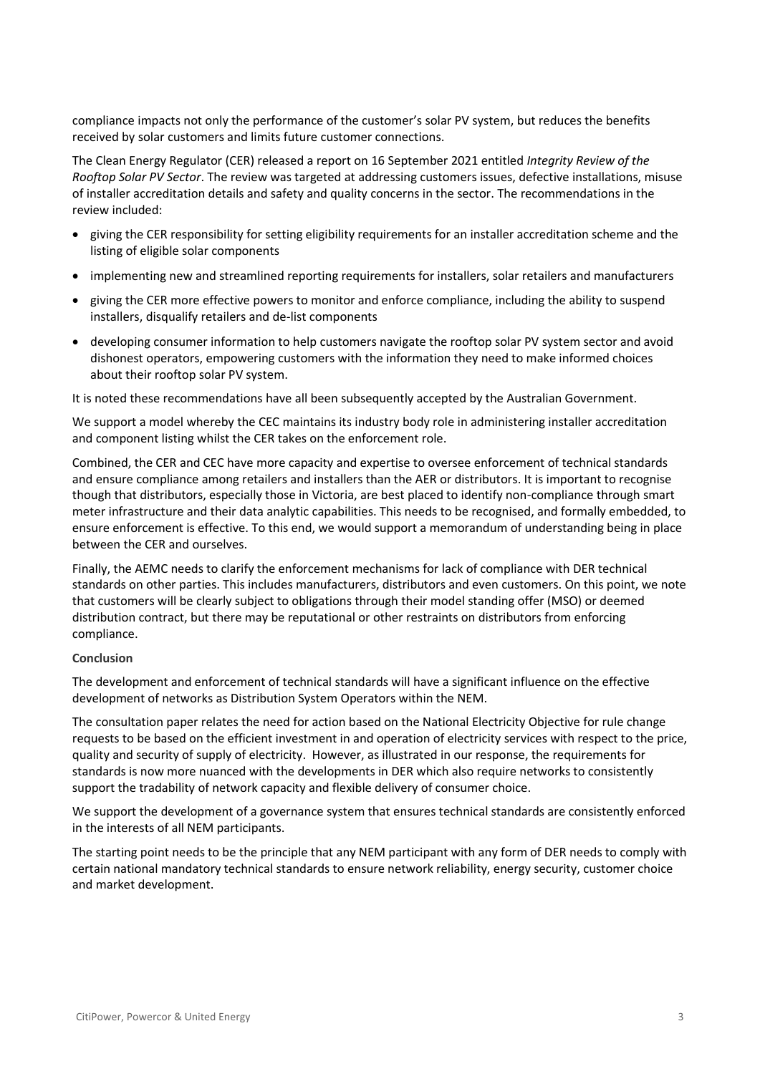compliance impacts not only the performance of the customer's solar PV system, but reduces the benefits received by solar customers and limits future customer connections.

The Clean Energy Regulator (CER) released a report on 16 September 2021 entitled *Integrity Review of the Rooftop Solar PV Sector*. The review was targeted at addressing customers issues, defective installations, misuse of installer accreditation details and safety and quality concerns in the sector. The recommendations in the review included:

- giving the CER responsibility for setting eligibility requirements for an installer accreditation scheme and the listing of eligible solar components
- implementing new and streamlined reporting requirements for installers, solar retailers and manufacturers
- giving the CER more effective powers to monitor and enforce compliance, including the ability to suspend installers, disqualify retailers and de-list components
- developing consumer information to help customers navigate the rooftop solar PV system sector and avoid dishonest operators, empowering customers with the information they need to make informed choices about their rooftop solar PV system.

It is noted these recommendations have all been subsequently accepted by the Australian Government.

We support a model whereby the CEC maintains its industry body role in administering installer accreditation and component listing whilst the CER takes on the enforcement role.

Combined, the CER and CEC have more capacity and expertise to oversee enforcement of technical standards and ensure compliance among retailers and installers than the AER or distributors. It is important to recognise though that distributors, especially those in Victoria, are best placed to identify non-compliance through smart meter infrastructure and their data analytic capabilities. This needs to be recognised, and formally embedded, to ensure enforcement is effective. To this end, we would support a memorandum of understanding being in place between the CER and ourselves.

Finally, the AEMC needs to clarify the enforcement mechanisms for lack of compliance with DER technical standards on other parties. This includes manufacturers, distributors and even customers. On this point, we note that customers will be clearly subject to obligations through their model standing offer (MSO) or deemed distribution contract, but there may be reputational or other restraints on distributors from enforcing compliance.

## **Conclusion**

The development and enforcement of technical standards will have a significant influence on the effective development of networks as Distribution System Operators within the NEM.

The consultation paper relates the need for action based on the National Electricity Objective for rule change requests to be based on the efficient investment in and operation of electricity services with respect to the price, quality and security of supply of electricity. However, as illustrated in our response, the requirements for standards is now more nuanced with the developments in DER which also require networks to consistently support the tradability of network capacity and flexible delivery of consumer choice.

We support the development of a governance system that ensures technical standards are consistently enforced in the interests of all NEM participants.

The starting point needs to be the principle that any NEM participant with any form of DER needs to comply with certain national mandatory technical standards to ensure network reliability, energy security, customer choice and market development.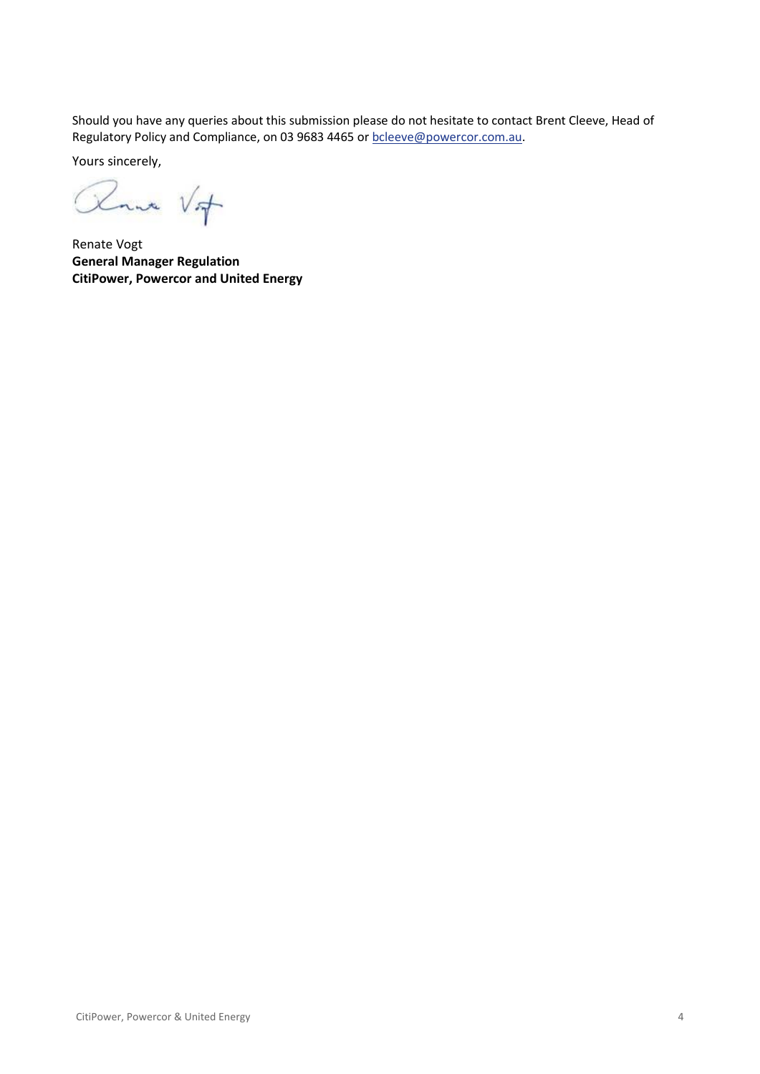Should you have any queries about this submission please do not hesitate to contact Brent Cleeve, Head of Regulatory Policy and Compliance, on 03 9683 4465 o[r bcleeve@powercor.com.au.](mailto:bcleeve@powercor.com.au)

Yours sincerely,

Roma Vif

Renate Vogt **General Manager Regulation CitiPower, Powercor and United Energy**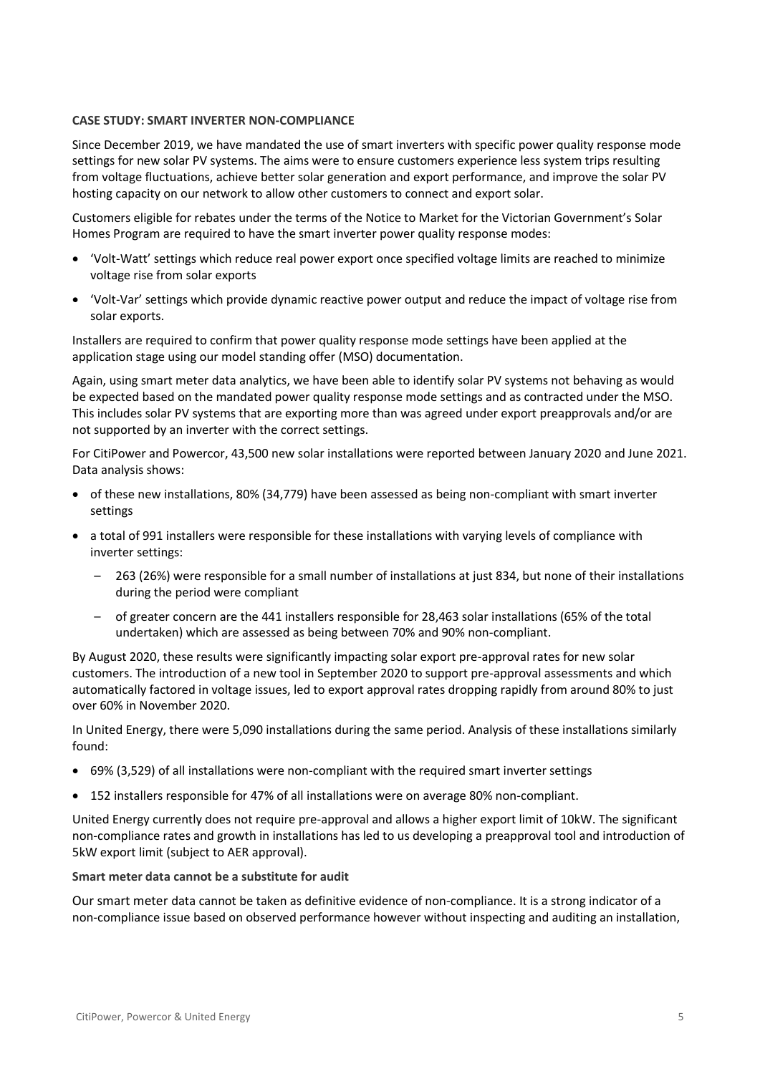# **CASE STUDY: SMART INVERTER NON-COMPLIANCE**

Since December 2019, we have mandated the use of smart inverters with specific power quality response mode settings for new solar PV systems. The aims were to ensure customers experience less system trips resulting from voltage fluctuations, achieve better solar generation and export performance, and improve the solar PV hosting capacity on our network to allow other customers to connect and export solar.

Customers eligible for rebates under the terms of the Notice to Market for the Victorian Government's Solar Homes Program are required to have the smart inverter power quality response modes:

- 'Volt-Watt' settings which reduce real power export once specified voltage limits are reached to minimize voltage rise from solar exports
- 'Volt-Var' settings which provide dynamic reactive power output and reduce the impact of voltage rise from solar exports.

Installers are required to confirm that power quality response mode settings have been applied at the application stage using our model standing offer (MSO) documentation.

Again, using smart meter data analytics, we have been able to identify solar PV systems not behaving as would be expected based on the mandated power quality response mode settings and as contracted under the MSO. This includes solar PV systems that are exporting more than was agreed under export preapprovals and/or are not supported by an inverter with the correct settings.

For CitiPower and Powercor, 43,500 new solar installations were reported between January 2020 and June 2021. Data analysis shows:

- of these new installations, 80% (34,779) have been assessed as being non-compliant with smart inverter settings
- a total of 991 installers were responsible for these installations with varying levels of compliance with inverter settings:
	- 263 (26%) were responsible for a small number of installations at just 834, but none of their installations during the period were compliant
	- of greater concern are the 441 installers responsible for 28,463 solar installations (65% of the total undertaken) which are assessed as being between 70% and 90% non-compliant.

By August 2020, these results were significantly impacting solar export pre-approval rates for new solar customers. The introduction of a new tool in September 2020 to support pre-approval assessments and which automatically factored in voltage issues, led to export approval rates dropping rapidly from around 80% to just over 60% in November 2020.

In United Energy, there were 5,090 installations during the same period. Analysis of these installations similarly found:

- 69% (3,529) of all installations were non-compliant with the required smart inverter settings
- 152 installers responsible for 47% of all installations were on average 80% non-compliant.

United Energy currently does not require pre-approval and allows a higher export limit of 10kW. The significant non-compliance rates and growth in installations has led to us developing a preapproval tool and introduction of 5kW export limit (subject to AER approval).

# **Smart meter data cannot be a substitute for audit**

Our smart meter data cannot be taken as definitive evidence of non-compliance. It is a strong indicator of a non-compliance issue based on observed performance however without inspecting and auditing an installation,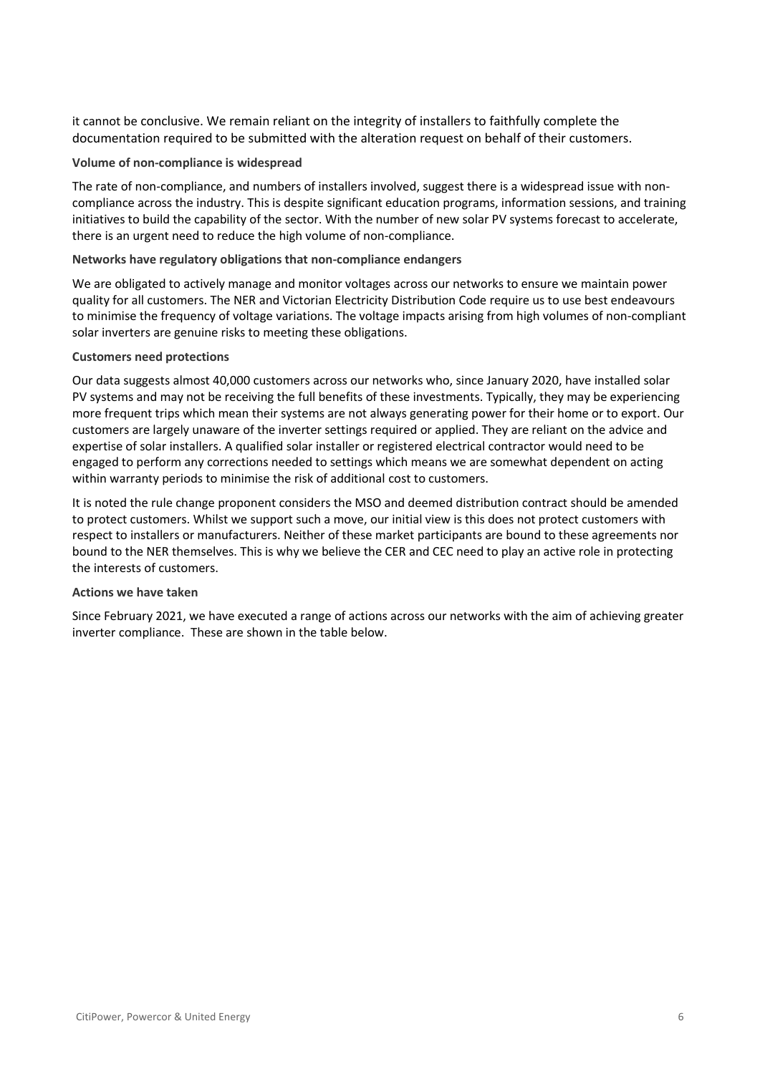it cannot be conclusive. We remain reliant on the integrity of installers to faithfully complete the documentation required to be submitted with the alteration request on behalf of their customers.

## **Volume of non-compliance is widespread**

The rate of non-compliance, and numbers of installers involved, suggest there is a widespread issue with noncompliance across the industry. This is despite significant education programs, information sessions, and training initiatives to build the capability of the sector. With the number of new solar PV systems forecast to accelerate, there is an urgent need to reduce the high volume of non-compliance.

## **Networks have regulatory obligations that non-compliance endangers**

We are obligated to actively manage and monitor voltages across our networks to ensure we maintain power quality for all customers. The NER and Victorian Electricity Distribution Code require us to use best endeavours to minimise the frequency of voltage variations. The voltage impacts arising from high volumes of non-compliant solar inverters are genuine risks to meeting these obligations.

### **Customers need protections**

Our data suggests almost 40,000 customers across our networks who, since January 2020, have installed solar PV systems and may not be receiving the full benefits of these investments. Typically, they may be experiencing more frequent trips which mean their systems are not always generating power for their home or to export. Our customers are largely unaware of the inverter settings required or applied. They are reliant on the advice and expertise of solar installers. A qualified solar installer or registered electrical contractor would need to be engaged to perform any corrections needed to settings which means we are somewhat dependent on acting within warranty periods to minimise the risk of additional cost to customers.

It is noted the rule change proponent considers the MSO and deemed distribution contract should be amended to protect customers. Whilst we support such a move, our initial view is this does not protect customers with respect to installers or manufacturers. Neither of these market participants are bound to these agreements nor bound to the NER themselves. This is why we believe the CER and CEC need to play an active role in protecting the interests of customers.

## **Actions we have taken**

Since February 2021, we have executed a range of actions across our networks with the aim of achieving greater inverter compliance. These are shown in the table below.